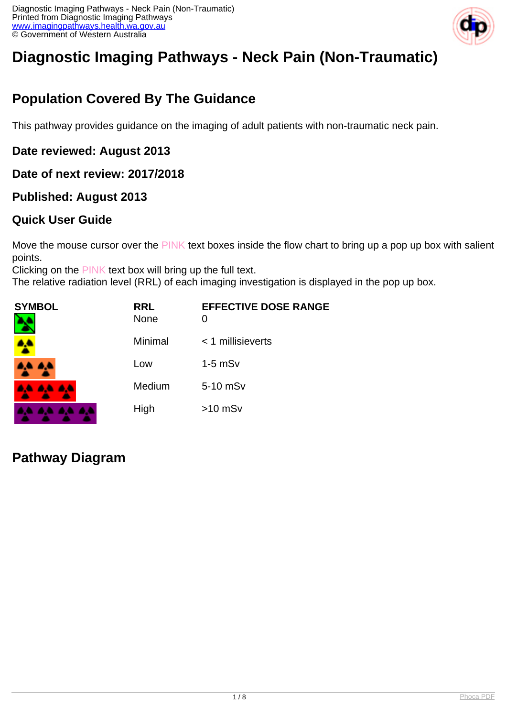

# **Diagnostic Imaging Pathways - Neck Pain (Non-Traumatic)**

## **Population Covered By The Guidance**

This pathway provides guidance on the imaging of adult patients with non-traumatic neck pain.

#### **Date reviewed: August 2013**

#### **Date of next review: 2017/2018**

#### **Published: August 2013**

#### **Quick User Guide**

Move the mouse cursor over the PINK text boxes inside the flow chart to bring up a pop up box with salient points.

Clicking on the PINK text box will bring up the full text.

The relative radiation level (RRL) of each imaging investigation is displayed in the pop up box.

| SYMBOL          | <b>RRL</b><br><b>None</b> | <b>EFFECTIVE DOSE RANGE</b><br>0 |
|-----------------|---------------------------|----------------------------------|
|                 | Minimal                   | < 1 millisieverts                |
| <b>AA AA</b>    | Low                       | $1-5$ mS $v$                     |
| <b>AA AA AA</b> | Medium                    | 5-10 mSv                         |
|                 | High                      | $>10$ mSv                        |

#### **Pathway Diagram**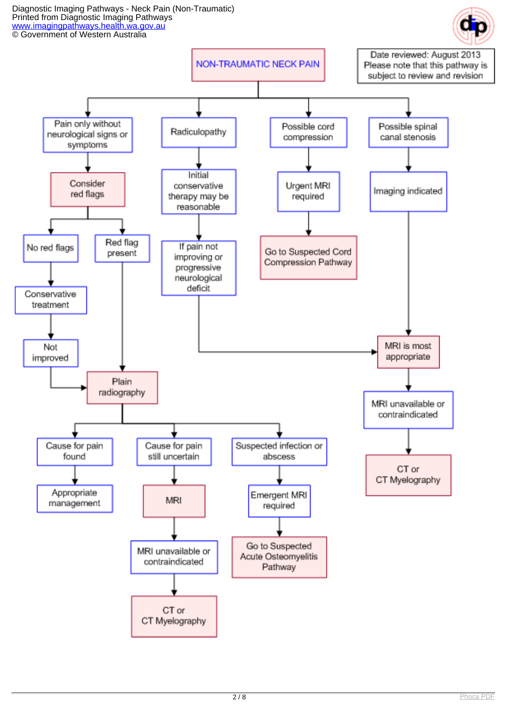Diagnostic Imaging Pathways - Neck Pain (Non-Traumatic) Printed from Diagnostic Imaging Pathways [www.imagingpathways.health.wa.gov.au](http://www.imagingpathways.health.wa.gov.au/) **CO** Government of Western Australia

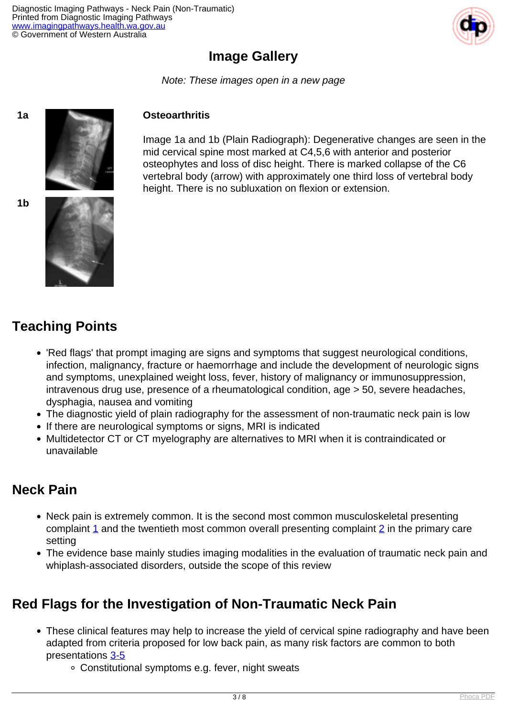

## **Image Gallery**

Note: These images open in a new page





Image 1a and 1b (Plain Radiograph): Degenerative changes are seen in the mid cervical spine most marked at C4,5,6 with anterior and posterior osteophytes and loss of disc height. There is marked collapse of the C6 vertebral body (arrow) with approximately one third loss of vertebral body height. There is no subluxation on flexion or extension.





## **Teaching Points**

- 'Red flags' that prompt imaging are signs and symptoms that suggest neurological conditions, infection, malignancy, fracture or haemorrhage and include the development of neurologic signs and symptoms, unexplained weight loss, fever, history of malignancy or immunosuppression, intravenous drug use, presence of a rheumatological condition, age > 50, severe headaches, dysphagia, nausea and vomiting
- The diagnostic yield of plain radiography for the assessment of non-traumatic neck pain is low
- If there are neurological symptoms or signs, MRI is indicated
- Multidetector CT or CT myelography are alternatives to MRI when it is contraindicated or unavailable

#### **Neck Pain**

- Neck pain is extremely common. It is the second most common musculoskeletal presenting complaint [1](index.php/imaging-pathways/musculoskeletal-trauma/musculoskeletal/non-traumatic-neck-pain?tab=References#1) and the twentieth most common overall presenting complaint [2](index.php/imaging-pathways/musculoskeletal-trauma/musculoskeletal/non-traumatic-neck-pain?tab=References#2) in the primary care setting
- The evidence base mainly studies imaging modalities in the evaluation of traumatic neck pain and whiplash-associated disorders, outside the scope of this review

## **Red Flags for the Investigation of Non-Traumatic Neck Pain**

- These clinical features may help to increase the yield of cervical spine radiography and have been adapted from criteria proposed for low back pain, as many risk factors are common to both presentations [3-5](index.php/imaging-pathways/musculoskeletal-trauma/musculoskeletal/non-traumatic-neck-pain?tab=References#3)
	- Constitutional symptoms e.g. fever, night sweats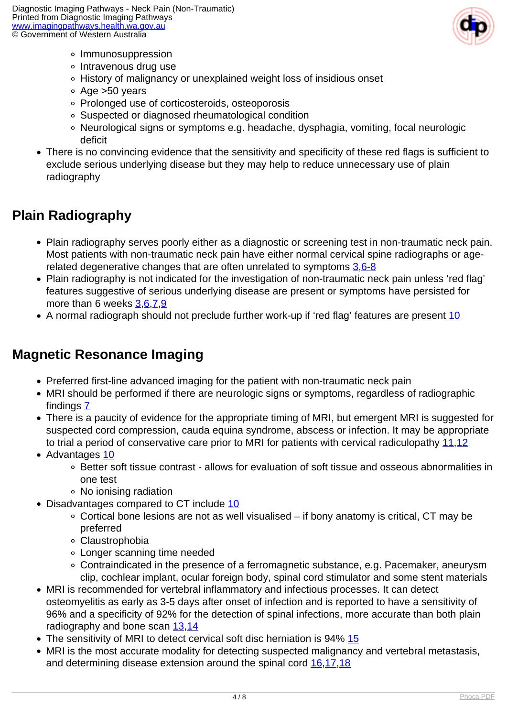

- o Immunosuppression
- ∘ Intravenous drug use
- History of malignancy or unexplained weight loss of insidious onset
- Age >50 years
- Prolonged use of corticosteroids, osteoporosis
- Suspected or diagnosed rheumatological condition
- Neurological signs or symptoms e.g. headache, dysphagia, vomiting, focal neurologic deficit
- There is no convincing evidence that the sensitivity and specificity of these red flags is sufficient to exclude serious underlying disease but they may help to reduce unnecessary use of plain radiography

## **Plain Radiography**

- Plain radiography serves poorly either as a diagnostic or screening test in non-traumatic neck pain. Most patients with non-traumatic neck pain have either normal cervical spine radiographs or agerelated degenerative changes that are often unrelated to symptoms [3](index.php/imaging-pathways/musculoskeletal-trauma/musculoskeletal/non-traumatic-neck-pain?tab=References#3)[,6-8](index.php/imaging-pathways/musculoskeletal-trauma/musculoskeletal/non-traumatic-neck-pain?tab=References#6)
- Plain radiography is not indicated for the investigation of non-traumatic neck pain unless 'red flag' features suggestive of serious underlying disease are present or symptoms have persisted for more than 6 weeks [3,](index.php/imaging-pathways/musculoskeletal-trauma/musculoskeletal/non-traumatic-neck-pain?tab=References#3)[6,](index.php/imaging-pathways/musculoskeletal-trauma/musculoskeletal/non-traumatic-neck-pain?tab=References#6)[7,](index.php/imaging-pathways/musculoskeletal-trauma/musculoskeletal/non-traumatic-neck-pain?tab=References#7)[9](index.php/imaging-pathways/musculoskeletal-trauma/musculoskeletal/non-traumatic-neck-pain?tab=References#9)
- A normal radiograph should not preclude further work-up if 'red flag' features are present [10](index.php/imaging-pathways/musculoskeletal-trauma/musculoskeletal/non-traumatic-neck-pain?tab=References#10)

## **Magnetic Resonance Imaging**

- Preferred first-line advanced imaging for the patient with non-traumatic neck pain
- MRI should be performed if there are neurologic signs or symptoms, regardless of radiographic findings [7](index.php/imaging-pathways/musculoskeletal-trauma/musculoskeletal/non-traumatic-neck-pain?tab=References#7)
- There is a paucity of evidence for the appropriate timing of MRI, but emergent MRI is suggested for suspected cord compression, cauda equina syndrome, abscess or infection. It may be appropriate to trial a period of conservative care prior to MRI for patients with cervical radiculopathy [11](index.php/imaging-pathways/musculoskeletal-trauma/musculoskeletal/non-traumatic-neck-pain?tab=References#11)[,12](index.php/imaging-pathways/musculoskeletal-trauma/musculoskeletal/non-traumatic-neck-pain?tab=References#12)
- Advantages [10](index.php/imaging-pathways/musculoskeletal-trauma/musculoskeletal/non-traumatic-neck-pain?tab=References#10)
	- Better soft tissue contrast allows for evaluation of soft tissue and osseous abnormalities in one test
	- No ionising radiation
- Disadvantages compared to CT include [10](index.php/imaging-pathways/musculoskeletal-trauma/musculoskeletal/non-traumatic-neck-pain?tab=References#10)
	- $\circ$  Cortical bone lesions are not as well visualised if bony anatomy is critical, CT may be preferred
	- Claustrophobia
	- Longer scanning time needed
	- Contraindicated in the presence of a ferromagnetic substance, e.g. Pacemaker, aneurysm clip, cochlear implant, ocular foreign body, spinal cord stimulator and some stent materials
- MRI is recommended for vertebral inflammatory and infectious processes. It can detect osteomyelitis as early as 3-5 days after onset of infection and is reported to have a sensitivity of 96% and a specificity of 92% for the detection of spinal infections, more accurate than both plain radiography and bone scan [13](index.php/imaging-pathways/musculoskeletal-trauma/musculoskeletal/non-traumatic-neck-pain?tab=References#13),[14](index.php/imaging-pathways/musculoskeletal-trauma/musculoskeletal/non-traumatic-neck-pain?tab=References#14)
- The sensitivity of MRI to detect cervical soft disc herniation is 94% [15](index.php/imaging-pathways/musculoskeletal-trauma/musculoskeletal/non-traumatic-neck-pain?tab=References#15)
- MRI is the most accurate modality for detecting suspected malignancy and vertebral metastasis, and determining disease extension around the spinal cord  $16,17,18$  $16,17,18$  $16,17,18$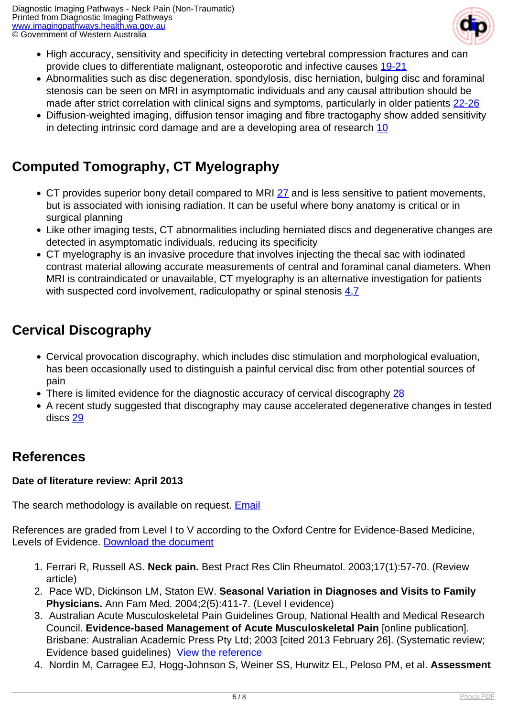

- High accuracy, sensitivity and specificity in detecting vertebral compression fractures and can provide clues to differentiate malignant, osteoporotic and infective causes [19-21](index.php/imaging-pathways/musculoskeletal-trauma/musculoskeletal/non-traumatic-neck-pain?tab=References#19)
- Abnormalities such as disc degeneration, spondylosis, disc herniation, bulging disc and foraminal stenosis can be seen on MRI in asymptomatic individuals and any causal attribution should be made after strict correlation with clinical signs and symptoms, particularly in older patients [22-26](index.php/imaging-pathways/musculoskeletal-trauma/musculoskeletal/non-traumatic-neck-pain?tab=References#22)
- Diffusion-weighted imaging, diffusion tensor imaging and fibre tractogaphy show added sensitivity in detecting intrinsic cord damage and are a developing area of research [10](index.php/imaging-pathways/musculoskeletal-trauma/musculoskeletal/non-traumatic-neck-pain?tab=References#10)

## **Computed Tomography, CT Myelography**

- CT provides superior bony detail compared to MRI [27](index.php/imaging-pathways/musculoskeletal-trauma/musculoskeletal/non-traumatic-neck-pain?tab=References#27) and is less sensitive to patient movements, but is associated with ionising radiation. It can be useful where bony anatomy is critical or in surgical planning
- Like other imaging tests, CT abnormalities including herniated discs and degenerative changes are detected in asymptomatic individuals, reducing its specificity
- CT myelography is an invasive procedure that involves injecting the thecal sac with iodinated contrast material allowing accurate measurements of central and foraminal canal diameters. When MRI is contraindicated or unavailable, CT myelography is an alternative investigation for patients with suspected cord involvement, radiculopathy or spinal stenosis  $4.7$  $4.7$

## **Cervical Discography**

- Cervical provocation discography, which includes disc stimulation and morphological evaluation, has been occasionally used to distinguish a painful cervical disc from other potential sources of pain
- There is limited evidence for the diagnostic accuracy of cervical discography [28](index.php/imaging-pathways/musculoskeletal-trauma/musculoskeletal/non-traumatic-neck-pain?tab=References#28)
- A recent study suggested that discography may cause accelerated degenerative changes in tested discs [29](index.php/imaging-pathways/musculoskeletal-trauma/musculoskeletal/non-traumatic-neck-pain?tab=References#29)

#### **References**

#### **Date of literature review: April 2013**

The search methodology is available on request. **[Email](index.php/contact-us)** 

References are graded from Level I to V according to the Oxford Centre for Evidence-Based Medicine, Levels of Evidence. [Download the document](http://www.cebm.net/wp-content/uploads/2014/06/CEBM-Levels-of-Evidence-2.1.pdf)

- 1. Ferrari R, Russell AS. **Neck pain.** Best Pract Res Clin Rheumatol. 2003;17(1):57-70. (Review article)
- 2. Pace WD, Dickinson LM, Staton EW. **Seasonal Variation in Diagnoses and Visits to Family Physicians.** Ann Fam Med. 2004;2(5):411-7. (Level I evidence)
- 3. Australian Acute Musculoskeletal Pain Guidelines Group, National Health and Medical Research Council. **Evidence-based Management of Acute Musculoskeletal Pain** [online publication]. Brisbane: Australian Academic Press Pty Ltd; 2003 [cited 2013 February 26]. (Systematic review; Evidence based guidelines) [View the reference](http://www.nhmrc.gov.au/guidelines/publications/cp94-cp95)
- 4. Nordin M, Carragee EJ, Hogg-Johnson S, Weiner SS, Hurwitz EL, Peloso PM, et al. **Assessment**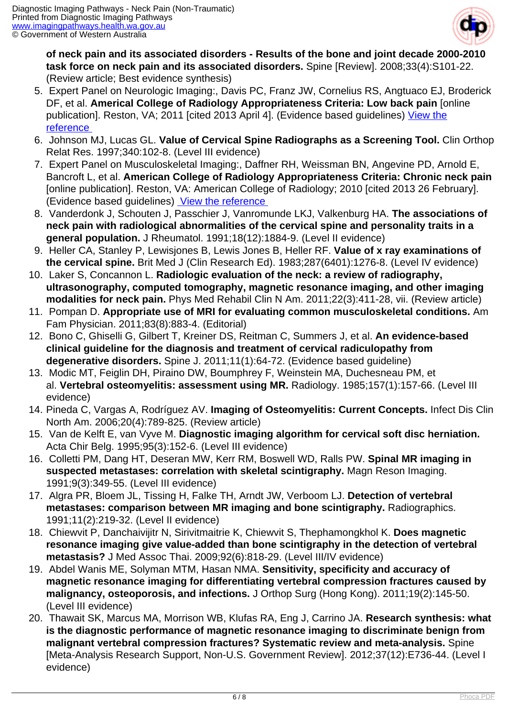

**of neck pain and its associated disorders - Results of the bone and joint decade 2000-2010 task force on neck pain and its associated disorders.** Spine [Review]. 2008;33(4):S101-22. (Review article; Best evidence synthesis)

- 5. Expert Panel on Neurologic Imaging:, Davis PC, Franz JW, Cornelius RS, Angtuaco EJ, Broderick DF, et al. **Americal College of Radiology Appropriateness Criteria: Low back pain** [online publication]. Reston, VA; 2011 [cited 2013 April 4]. (Evidence based guidelines) [View the](http://www.acr.org/~/media/ACR/Documents/AppCriteria/Diagnostic/LowBackPain.pdf) [reference](http://www.acr.org/~/media/ACR/Documents/AppCriteria/Diagnostic/LowBackPain.pdf)
- 6. Johnson MJ, Lucas GL. **Value of Cervical Spine Radiographs as a Screening Tool.** Clin Orthop Relat Res. 1997;340:102-8. (Level III evidence)
- 7. Expert Panel on Musculoskeletal Imaging:, Daffner RH, Weissman BN, Angevine PD, Arnold E, Bancroft L, et al. **American College of Radiology Appropriateness Criteria: Chronic neck pain** [online publication]. Reston, VA: American College of Radiology; 2010 [cited 2013 26 February]. (Evidence based guidelines) [View the reference](http://www.guideline.gov/content.aspx?id=23823)
- 8. Vanderdonk J, Schouten J, Passchier J, Vanromunde LKJ, Valkenburg HA. **The associations of neck pain with radiological abnormalities of the cervical spine and personality traits in a general population.** J Rheumatol. 1991;18(12):1884-9. (Level II evidence)
- 9. Heller CA, Stanley P, Lewisjones B, Lewis Jones B, Heller RF. **Value of x ray examinations of the cervical spine.** Brit Med J (Clin Research Ed). 1983;287(6401):1276-8. (Level IV evidence)
- 10. Laker S, Concannon L. **Radiologic evaluation of the neck: a review of radiography, ultrasonography, computed tomography, magnetic resonance imaging, and other imaging modalities for neck pain.** Phys Med Rehabil Clin N Am. 2011;22(3):411-28, vii. (Review article)
- 11. Pompan D. **Appropriate use of MRI for evaluating common musculoskeletal conditions.** Am Fam Physician. 2011;83(8):883-4. (Editorial)
- 12. Bono C, Ghiselli G, Gilbert T, Kreiner DS, Reitman C, Summers J, et al. **An evidence-based clinical guideline for the diagnosis and treatment of cervical radiculopathy from degenerative disorders.** Spine J. 2011;11(1):64-72. (Evidence based guideline)
- 13. Modic MT, Feiglin DH, Piraino DW, Boumphrey F, Weinstein MA, Duchesneau PM, et al. **Vertebral osteomyelitis: assessment using MR.** Radiology. 1985;157(1):157-66. (Level III evidence)
- 14. Pineda C, Vargas A, Rodríguez AV. **Imaging of Osteomyelitis: Current Concepts.** Infect Dis Clin North Am. 2006;20(4):789-825. (Review article)
- 15. Van de Kelft E, van Vyve M. **Diagnostic imaging algorithm for cervical soft disc herniation.** Acta Chir Belg. 1995;95(3):152-6. (Level III evidence)
- 16. Colletti PM, Dang HT, Deseran MW, Kerr RM, Boswell WD, Ralls PW. **Spinal MR imaging in suspected metastases: correlation with skeletal scintigraphy.** Magn Reson Imaging. 1991;9(3):349-55. (Level III evidence)
- 17. Algra PR, Bloem JL, Tissing H, Falke TH, Arndt JW, Verboom LJ. **Detection of vertebral metastases: comparison between MR imaging and bone scintigraphy.** Radiographics. 1991;11(2):219-32. (Level II evidence)
- 18. Chiewvit P, Danchaivijitr N, Sirivitmaitrie K, Chiewvit S, Thephamongkhol K. **Does magnetic resonance imaging give value-added than bone scintigraphy in the detection of vertebral metastasis?** J Med Assoc Thai. 2009;92(6):818-29. (Level III/IV evidence)
- 19. Abdel Wanis ME, Solyman MTM, Hasan NMA. **Sensitivity, specificity and accuracy of magnetic resonance imaging for differentiating vertebral compression fractures caused by malignancy, osteoporosis, and infections.** J Orthop Surg (Hong Kong). 2011;19(2):145-50. (Level III evidence)
- 20. Thawait SK, Marcus MA, Morrison WB, Klufas RA, Eng J, Carrino JA. **Research synthesis: what is the diagnostic performance of magnetic resonance imaging to discriminate benign from malignant vertebral compression fractures? Systematic review and meta-analysis.** Spine [Meta-Analysis Research Support, Non-U.S. Government Review]. 2012;37(12):E736-44. (Level I evidence)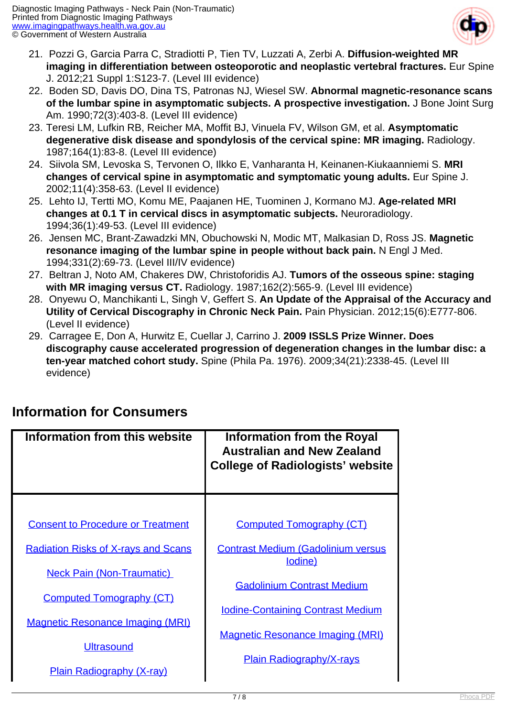

- 21. Pozzi G, Garcia Parra C, Stradiotti P, Tien TV, Luzzati A, Zerbi A. **Diffusion-weighted MR imaging in differentiation between osteoporotic and neoplastic vertebral fractures.** Eur Spine J. 2012;21 Suppl 1:S123-7. (Level III evidence)
- 22. Boden SD, Davis DO, Dina TS, Patronas NJ, Wiesel SW. **Abnormal magnetic-resonance scans of the lumbar spine in asymptomatic subjects. A prospective investigation.** J Bone Joint Surg Am. 1990;72(3):403-8. (Level III evidence)
- 23. Teresi LM, Lufkin RB, Reicher MA, Moffit BJ, Vinuela FV, Wilson GM, et al. **Asymptomatic degenerative disk disease and spondylosis of the cervical spine: MR imaging.** Radiology. 1987;164(1):83-8. (Level III evidence)
- 24. Siivola SM, Levoska S, Tervonen O, Ilkko E, Vanharanta H, Keinanen-Kiukaanniemi S. **MRI changes of cervical spine in asymptomatic and symptomatic young adults.** Eur Spine J. 2002;11(4):358-63. (Level II evidence)
- 25. Lehto IJ, Tertti MO, Komu ME, Paajanen HE, Tuominen J, Kormano MJ. **Age-related MRI changes at 0.1 T in cervical discs in asymptomatic subjects.** Neuroradiology. 1994;36(1):49-53. (Level III evidence)
- 26. Jensen MC, Brant-Zawadzki MN, Obuchowski N, Modic MT, Malkasian D, Ross JS. **Magnetic resonance imaging of the lumbar spine in people without back pain.** N Engl J Med. 1994;331(2):69-73. (Level III/IV evidence)
- 27. Beltran J, Noto AM, Chakeres DW, Christoforidis AJ. **Tumors of the osseous spine: staging with MR imaging versus CT.** Radiology. 1987;162(2):565-9. (Level III evidence)
- 28. Onyewu O, Manchikanti L, Singh V, Geffert S. **An Update of the Appraisal of the Accuracy and Utility of Cervical Discography in Chronic Neck Pain.** Pain Physician. 2012;15(6):E777-806. (Level II evidence)
- 29. Carragee E, Don A, Hurwitz E, Cuellar J, Carrino J. **2009 ISSLS Prize Winner. Does discography cause accelerated progression of degeneration changes in the lumbar disc: a ten-year matched cohort study.** Spine (Phila Pa. 1976). 2009;34(21):2338-45. (Level III evidence)

| Information from this website                                       | <b>Information from the Royal</b><br><b>Australian and New Zealand</b><br><b>College of Radiologists' website</b> |
|---------------------------------------------------------------------|-------------------------------------------------------------------------------------------------------------------|
| <b>Consent to Procedure or Treatment</b>                            | <b>Computed Tomography (CT)</b>                                                                                   |
| <b>Radiation Risks of X-rays and Scans</b>                          | <b>Contrast Medium (Gadolinium versus</b><br>lodine)                                                              |
| <b>Neck Pain (Non-Traumatic)</b><br><b>Computed Tomography (CT)</b> | <b>Gadolinium Contrast Medium</b>                                                                                 |
| <b>Magnetic Resonance Imaging (MRI)</b>                             | <b>Iodine-Containing Contrast Medium</b><br><b>Magnetic Resonance Imaging (MRI)</b>                               |
| <b>Ultrasound</b><br><b>Plain Radiography (X-ray)</b>               | <b>Plain Radiography/X-rays</b>                                                                                   |

## **Information for Consumers**